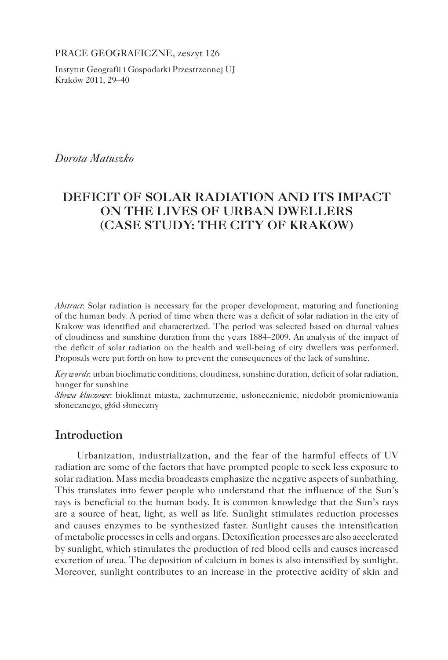PRACE GEOGRAFICZNE, zeszyt 126

Instytut Geografii i Gospodarki Przestrzennej UJ Kraków 2011, 29–40

*Dorota Matuszko*

# **DEFICIT OF SOLAR RADIATION AND ITS IMPACT ON THE LIVES OF URBAN DWELLERS (CASE STUDY: THE CITY OF KRAKOW)**

*Abstract*: Solar radiation is necessary for the proper development, maturing and functioning of the human body. A period of time when there was a deficit of solar radiation in the city of Krakow was identified and characterized. The period was selected based on diurnal values of cloudiness and sunshine duration from the years 1884–2009. An analysis of the impact of the deficit of solar radiation on the health and well-being of city dwellers was performed. Proposals were put forth on how to prevent the consequences of the lack of sunshine.

*Key words*: urban bioclimatic conditions, cloudiness, sunshine duration, deficit of solar radiation, hunger for sunshine

*Słowa kluczowe*: bioklimat miasta, zachmurzenie, usłonecznienie, niedobór promieniowania słonecznego, głód słoneczny

## **Introduction**

Urbanization, industrialization, and the fear of the harmful effects of UV radiation are some of the factors that have prompted people to seek less exposure to solar radiation. Mass media broadcasts emphasize the negative aspects of sunbathing. This translates into fewer people who understand that the influence of the Sun's rays is beneficial to the human body. It is common knowledge that the Sun's rays are a source of heat, light, as well as life. Sunlight stimulates reduction processes and causes enzymes to be synthesized faster. Sunlight causes the intensification of metabolic processes in cells and organs. Detoxification processes are also accelerated by sunlight, which stimulates the production of red blood cells and causes increased excretion of urea. The deposition of calcium in bones is also intensified by sunlight. Moreover, sunlight contributes to an increase in the protective acidity of skin and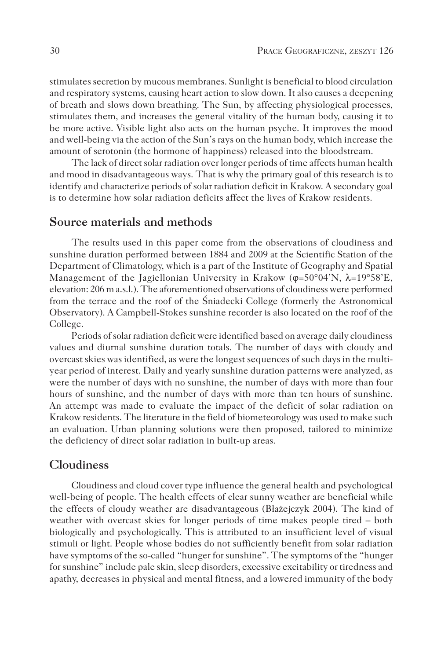stimulates secretion by mucous membranes. Sunlight is beneficial to blood circulation and respiratory systems, causing heart action to slow down. It also causes a deepening of breath and slows down breathing. The Sun, by affecting physiological processes, stimulates them, and increases the general vitality of the human body, causing it to be more active. Visible light also acts on the human psyche. It improves the mood and well-being via the action of the Sun's rays on the human body, which increase the amount of serotonin (the hormone of happiness) released into the bloodstream.

The lack of direct solar radiation over longer periods of time affects human health and mood in disadvantageous ways. That is why the primary goal of this research is to identify and characterize periods of solar radiation deficit in Krakow. A secondary goal is to determine how solar radiation deficits affect the lives of Krakow residents.

#### **Source materials and methods**

The results used in this paper come from the observations of cloudiness and sunshine duration performed between 1884 and 2009 at the Scientific Station of the Department of Climatology, which is a part of the Institute of Geography and Spatial Management of the Jagiellonian University in Krakow ( $\phi = 50^{\circ}04'N$ ,  $\lambda = 19^{\circ}58'E$ , elevation: 206 m a.s.l.). The aforementioned observations of cloudiness were performed from the terrace and the roof of the Śniadecki College (formerly the Astronomical Observatory). A Campbell-Stokes sunshine recorder is also located on the roof of the College.

Periods of solar radiation deficit were identified based on average daily cloudiness values and diurnal sunshine duration totals. The number of days with cloudy and overcast skies was identified, as were the longest sequences of such days in the multiyear period of interest. Daily and yearly sunshine duration patterns were analyzed, as were the number of days with no sunshine, the number of days with more than four hours of sunshine, and the number of days with more than ten hours of sunshine. An attempt was made to evaluate the impact of the deficit of solar radiation on Krakow residents. The literature in the field of biometeorology was used to make such an evaluation. Urban planning solutions were then proposed, tailored to minimize the deficiency of direct solar radiation in built-up areas.

### **Cloudiness**

Cloudiness and cloud cover type influence the general health and psychological well-being of people. The health effects of clear sunny weather are beneficial while the effects of cloudy weather are disadvantageous (Błażejczyk 2004). The kind of weather with overcast skies for longer periods of time makes people tired – both biologically and psychologically. This is attributed to an insufficient level of visual stimuli or light. People whose bodies do not sufficiently benefit from solar radiation have symptoms of the so-called "hunger for sunshine". The symptoms of the "hunger for sunshine" include pale skin, sleep disorders, excessive excitability or tiredness and apathy, decreases in physical and mental fitness, and a lowered immunity of the body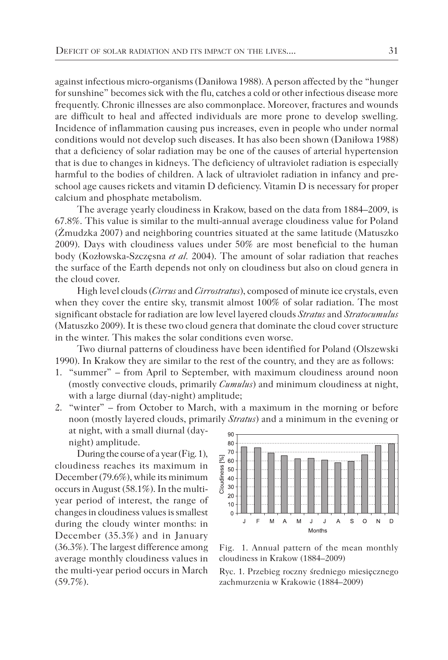against infectious micro-organisms (Daniłowa 1988). A person affected by the "hunger for sunshine" becomes sick with the flu, catches a cold or other infectious disease more frequently. Chronic illnesses are also commonplace. Moreover, fractures and wounds are difficult to heal and affected individuals are more prone to develop swelling. Incidence of inflammation causing pus increases, even in people who under normal conditions would not develop such diseases. It has also been shown (Daniłowa 1988) that a deficiency of solar radiation may be one of the causes of arterial hypertension that is due to changes in kidneys. The deficiency of ultraviolet radiation is especially harmful to the bodies of children. A lack of ultraviolet radiation in infancy and preschool age causes rickets and vitamin D deficiency. Vitamin D is necessary for proper calcium and phosphate metabolism.

The average yearly cloudiness in Krakow, based on the data from 1884–2009, is 67.8%. This value is similar to the multi-annual average cloudiness value for Poland (Żmudzka 2007) and neighboring countries situated at the same latitude (Matuszko 2009). Days with cloudiness values under 50% are most beneficial to the human body (Kozłowska-Szczęsna *et al.* 2004). The amount of solar radiation that reaches the surface of the Earth depends not only on cloudiness but also on cloud genera in the cloud cover.

High level clouds (*Cirrus* and *Cirrostratus*), composed of minute ice crystals, even when they cover the entire sky, transmit almost 100% of solar radiation. The most significant obstacle for radiation are low level layered clouds *Stratus* and *Stratocumulus* (Matuszko 2009). It is these two cloud genera that dominate the cloud cover structure in the winter. This makes the solar conditions even worse.

Two diurnal patterns of cloudiness have been identified for Poland (Olszewski 1990). In Krakow they are similar to the rest of the country, and they are as follows:

- 1. "summer" from April to September, with maximum cloudiness around noon (mostly convective clouds, primarily *Cumulus*) and minimum cloudiness at night, with a large diurnal (day-night) amplitude;
- 2. "winter" from October to March, with a maximum in the morning or before noon (mostly layered clouds, primarily *Stratus*) and a minimum in the evening or at night, with a small diurnal (day-

night) amplitude.

During the course of a year (Fig. 1), cloudiness reaches its maximum in December (79.6%), while its minimum occurs in August (58.1%). In the multiyear period of interest, the range of changes in cloudiness values is smallest during the cloudy winter months: in December (35.3%) and in January (36.3%). The largest difference among average monthly cloudiness values in the multi-year period occurs in March  $(59.7\%)$ .



Fig. 1. Annual pattern of the mean monthly cloudiness in Krakow (1884–2009)

Ryc. 1. Przebieg roczny średniego miesięcznego zachmurzenia w Krakowie (1884–2009)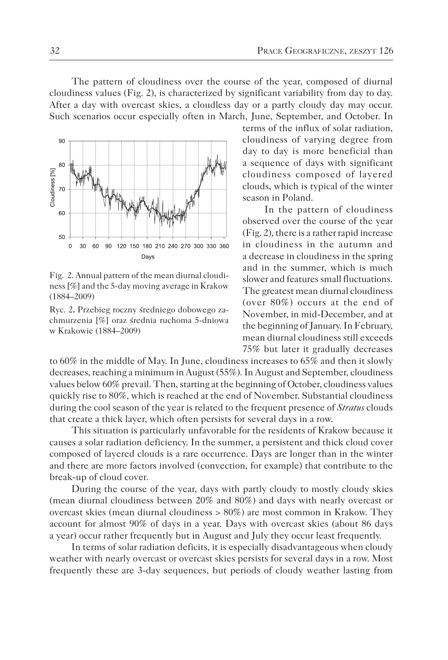The pattern of cloudiness over the course of the year, composed of diurnal cloudiness values (Fig. 2), is characterized by significant variability from day to day. After a day with overcast skies, a cloudless day or a partly cloudy day may occur. Such scenarios occur especially often in March, June, September, and October. In



Fig. 2. Annual pattern of the mean diurnal cloudiness [%] and the 5-day moving average in Krakow (1884–2009)

Ryc. 2**.** Przebieg roczny średniego dobowego zachmurzenia [%] oraz średnia ruchoma 5-dniowa w Krakowie (1884–2009)

terms of the influx of solar radiation, cloudiness of varying degree from day to day is more beneficial than a sequence of days with significant cloudiness composed of layered clouds, which is typical of the winter season in Poland.

In the pattern of cloudiness observed over the course of the year (Fig. 2), there is a rather rapid increase in cloudiness in the autumn and a decrease in cloudiness in the spring and in the summer, which is much slower and features small fluctuations. The greatest mean diurnal cloudiness (over 80%) occurs at the end of November, in mid-December, and at the beginning of January. In February, mean diurnal cloudiness still exceeds 75% but later it gradually decreases

to 60% in the middle of May. In June, cloudiness increases to 65% and then it slowly decreases, reaching a minimum in August (55%). In August and September, cloudiness values below 60% prevail. Then, starting at the beginning of October, cloudiness values quickly rise to 80%, which is reached at the end of November. Substantial cloudiness during the cool season of the year is related to the frequent presence of *Stratus* clouds that create a thick layer, which often persists for several days in a row.

This situation is particularly unfavorable for the residents of Krakow because it causes a solar radiation deficiency. In the summer, a persistent and thick cloud cover composed of layered clouds is a rare occurrence. Days are longer than in the winter and there are more factors involved (convection, for example) that contribute to the break-up of cloud cover.

During the course of the year, days with partly cloudy to mostly cloudy skies (mean diurnal cloudiness between 20% and 80%) and days with nearly overcast or overcast skies (mean diurnal cloudiness > 80%) are most common in Krakow. They account for almost 90% of days in a year. Days with overcast skies (about 86 days a year) occur rather frequently but in August and July they occur least frequently.

In terms of solar radiation deficits, it is especially disadvantageous when cloudy weather with nearly overcast or overcast skies persists for several days in a row. Most frequently these are 3-day sequences, but periods of cloudy weather lasting from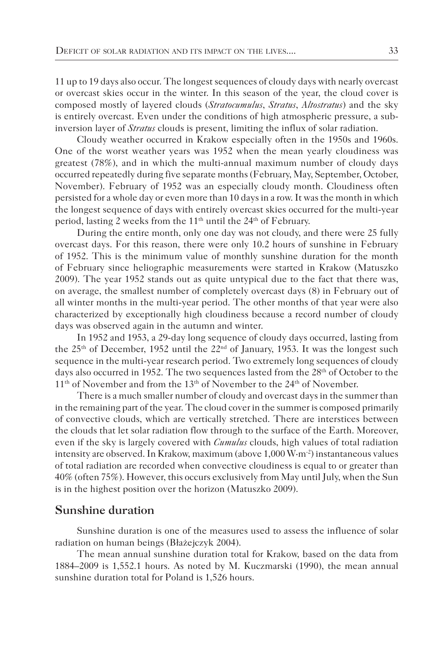11 up to 19 days also occur. The longest sequences of cloudy days with nearly overcast or overcast skies occur in the winter. In this season of the year, the cloud cover is composed mostly of layered clouds (*Stratocumulus*, *Stratus*, *Altostratus*) and the sky is entirely overcast. Even under the conditions of high atmospheric pressure, a subinversion layer of *Stratus* clouds is present, limiting the influx of solar radiation.

Cloudy weather occurred in Krakow especially often in the 1950s and 1960s. One of the worst weather years was 1952 when the mean yearly cloudiness was greatest (78%), and in which the multi-annual maximum number of cloudy days occurred repeatedly during five separate months (February, May, September, October, November). February of 1952 was an especially cloudy month. Cloudiness often persisted for a whole day or even more than 10 days in a row. It was the month in which the longest sequence of days with entirely overcast skies occurred for the multi-year period, lasting 2 weeks from the 11<sup>th</sup> until the 24<sup>th</sup> of February.

During the entire month, only one day was not cloudy, and there were 25 fully overcast days. For this reason, there were only 10.2 hours of sunshine in February of 1952. This is the minimum value of monthly sunshine duration for the month of February since heliographic measurements were started in Krakow (Matuszko 2009). The year 1952 stands out as quite untypical due to the fact that there was, on average, the smallest number of completely overcast days (8) in February out of all winter months in the multi-year period. The other months of that year were also characterized by exceptionally high cloudiness because a record number of cloudy days was observed again in the autumn and winter.

In 1952 and 1953, a 29-day long sequence of cloudy days occurred, lasting from the 25<sup>th</sup> of December, 1952 until the 22<sup>nd</sup> of January, 1953. It was the longest such sequence in the multi-year research period. Two extremely long sequences of cloudy days also occurred in 1952. The two sequences lasted from the 28<sup>th</sup> of October to the 11<sup>th</sup> of November and from the 13<sup>th</sup> of November to the 24<sup>th</sup> of November.

There is a much smaller number of cloudy and overcast days in the summer than in the remaining part of the year. The cloud cover in the summer is composed primarily of convective clouds, which are vertically stretched. There are interstices between the clouds that let solar radiation flow through to the surface of the Earth. Moreover, even if the sky is largely covered with *Cumulus* clouds, high values of total radiation intensity are observed. In Krakow, maximum (above  $1,000 \,\mathrm{W}\cdot\mathrm{m}^{-2}$ ) instantaneous values of total radiation are recorded when convective cloudiness is equal to or greater than 40% (often 75%). However, this occurs exclusively from May until July, when the Sun is in the highest position over the horizon (Matuszko 2009).

### **Sunshine duration**

Sunshine duration is one of the measures used to assess the influence of solar radiation on human beings (Błażejczyk 2004).

The mean annual sunshine duration total for Krakow, based on the data from 1884–2009 is 1,552.1 hours. As noted by M. Kuczmarski (1990), the mean annual sunshine duration total for Poland is 1,526 hours.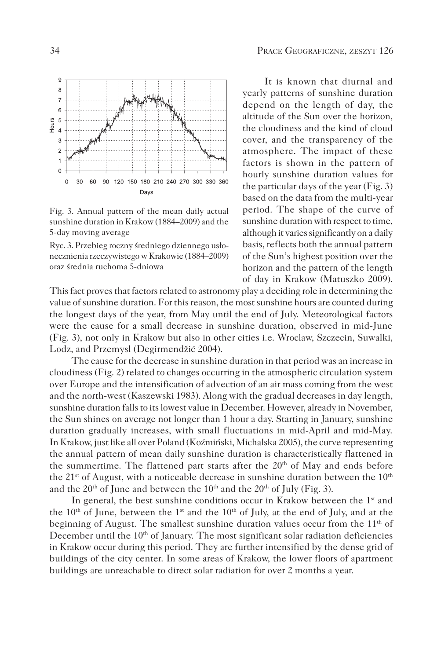

Fig. 3. Annual pattern of the mean daily actual sunshine duration in Krakow (1884–2009) and the 5-day moving average

Ryc. 3. Przebieg roczny średniego dziennego usłonecznienia rzeczywistego w Krakowie (1884–2009) oraz średnia ruchoma 5-dniowa

It is known that diurnal and yearly patterns of sunshine duration depend on the length of day, the altitude of the Sun over the horizon, the cloudiness and the kind of cloud cover, and the transparency of the atmosphere. The impact of these factors is shown in the pattern of hourly sunshine duration values for the particular days of the year (Fig. 3) based on the data from the multi-year period. The shape of the curve of sunshine duration with respect to time, although it varies significantly on a daily basis, reflects both the annual pattern of the Sun's highest position over the horizon and the pattern of the length of day in Krakow (Matuszko 2009).

This fact proves that factors related to astronomy play a deciding role in determining the value of sunshine duration. For this reason, the most sunshine hours are counted during the longest days of the year, from May until the end of July. Meteorological factors were the cause for a small decrease in sunshine duration, observed in mid-June (Fig. 3), not only in Krakow but also in other cities i.e. Wroclaw, Szczecin, Suwalki, Lodz, and Przemysl (Degirmendžić 2004).

The cause for the decrease in sunshine duration in that period was an increase in cloudiness (Fig. 2) related to changes occurring in the atmospheric circulation system over Europe and the intensification of advection of an air mass coming from the west and the north-west (Kaszewski 1983). Along with the gradual decreases in day length, sunshine duration falls to its lowest value in December. However, already in November, the Sun shines on average not longer than 1 hour a day. Starting in January, sunshine duration gradually increases, with small fluctuations in mid-April and mid-May. In Krakow, just like all over Poland (Koźmiński, Michalska 2005), the curve representing the annual pattern of mean daily sunshine duration is characteristically flattened in the summertime. The flattened part starts after the  $20<sup>th</sup>$  of May and ends before the  $21^{st}$  of August, with a noticeable decrease in sunshine duration between the  $10^{th}$ and the  $20<sup>th</sup>$  of June and between the  $10<sup>th</sup>$  and the  $20<sup>th</sup>$  of July (Fig. 3).

In general, the best sunshine conditions occur in Krakow between the 1<sup>st</sup> and the  $10<sup>th</sup>$  of June, between the 1<sup>st</sup> and the  $10<sup>th</sup>$  of July, at the end of July, and at the beginning of August. The smallest sunshine duration values occur from the  $11<sup>th</sup>$  of December until the 10<sup>th</sup> of January. The most significant solar radiation deficiencies in Krakow occur during this period. They are further intensified by the dense grid of buildings of the city center. In some areas of Krakow, the lower floors of apartment buildings are unreachable to direct solar radiation for over 2 months a year.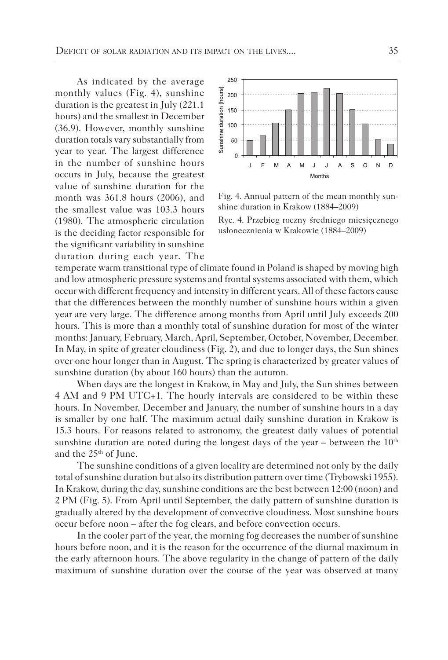As indicated by the average monthly values (Fig. 4), sunshine duration is the greatest in July (221.1 hours) and the smallest in December (36.9). However, monthly sunshine duration totals vary substantially from year to year. The largest difference in the number of sunshine hours occurs in July, because the greatest value of sunshine duration for the month was 361.8 hours (2006), and the smallest value was 103.3 hours (1980). The atmospheric circulation is the deciding factor responsible for the significant variability in sunshine duration during each year. The



Fig. 4. Annual pattern of the mean monthly sunshine duration in Krakow (1884–2009)

Ryc. 4. Przebieg roczny średniego miesięcznego usłonecznienia w Krakowie (1884–2009)

temperate warm transitional type of climate found in Poland is shaped by moving high and low atmospheric pressure systems and frontal systems associated with them, which occur with different frequency and intensity in different years. All of these factors cause that the differences between the monthly number of sunshine hours within a given year are very large. The difference among months from April until July exceeds 200 hours. This is more than a monthly total of sunshine duration for most of the winter months: January, February, March, April, September, October, November, December. In May, in spite of greater cloudiness (Fig. 2), and due to longer days, the Sun shines over one hour longer than in August. The spring is characterized by greater values of sunshine duration (by about 160 hours) than the autumn.

When days are the longest in Krakow, in May and July, the Sun shines between 4 AM and 9 PM UTC+1. The hourly intervals are considered to be within these hours. In November, December and January, the number of sunshine hours in a day is smaller by one half. The maximum actual daily sunshine duration in Krakow is 15.3 hours. For reasons related to astronomy, the greatest daily values of potential sunshine duration are noted during the longest days of the year – between the  $10<sup>th</sup>$ and the 25th of June.

The sunshine conditions of a given locality are determined not only by the daily total of sunshine duration but also its distribution pattern over time (Trybowski 1955). In Krakow, during the day, sunshine conditions are the best between 12:00 (noon) and 2 PM (Fig. 5). From April until September, the daily pattern of sunshine duration is gradually altered by the development of convective cloudiness. Most sunshine hours occur before noon – after the fog clears, and before convection occurs.

In the cooler part of the year, the morning fog decreases the number of sunshine hours before noon, and it is the reason for the occurrence of the diurnal maximum in the early afternoon hours. The above regularity in the change of pattern of the daily maximum of sunshine duration over the course of the year was observed at many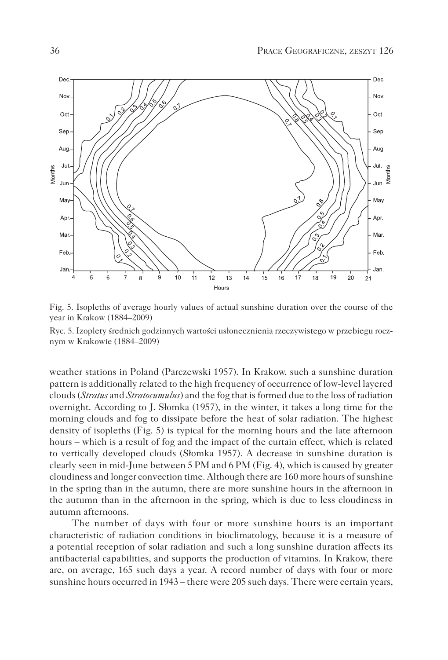

Fig. 5. Isopleths of average hourly values of actual sunshine duration over the course of the year in Krakow (1884–2009)

Ryc. 5. Izoplety średnich godzinnych wartości usłonecznienia rzeczywistego w przebiegu rocznym w Krakowie (1884–2009)

weather stations in Poland (Parczewski 1957). In Krakow, such a sunshine duration pattern is additionally related to the high frequency of occurrence of low-level layered clouds (*Stratus* and *Stratocumulus*) and the fog that is formed due to the loss of radiation overnight. According to J. Słomka (1957), in the winter, it takes a long time for the morning clouds and fog to dissipate before the heat of solar radiation. The highest density of isopleths (Fig. 5) is typical for the morning hours and the late afternoon hours – which is a result of fog and the impact of the curtain effect, which is related to vertically developed clouds (Słomka 1957). A decrease in sunshine duration is clearly seen in mid-June between 5 PM and 6 PM (Fig. 4), which is caused by greater cloudiness and longer convection time. Although there are 160 more hours of sunshine in the spring than in the autumn, there are more sunshine hours in the afternoon in the autumn than in the afternoon in the spring, which is due to less cloudiness in autumn afternoons.

The number of days with four or more sunshine hours is an important characteristic of radiation conditions in bioclimatology, because it is a measure of a potential reception of solar radiation and such a long sunshine duration affects its antibacterial capabilities, and supports the production of vitamins. In Krakow, there are, on average, 165 such days a year. A record number of days with four or more sunshine hours occurred in 1943 – there were 205 such days. There were certain years,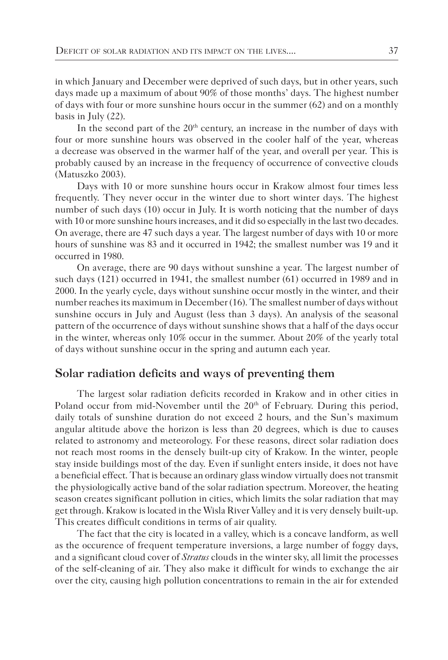in which January and December were deprived of such days, but in other years, such days made up a maximum of about 90% of those months' days. The highest number of days with four or more sunshine hours occur in the summer (62) and on a monthly basis in July (22).

In the second part of the 20<sup>th</sup> century, an increase in the number of days with four or more sunshine hours was observed in the cooler half of the year, whereas a decrease was observed in the warmer half of the year, and overall per year. This is probably caused by an increase in the frequency of occurrence of convective clouds (Matuszko 2003).

Days with 10 or more sunshine hours occur in Krakow almost four times less frequently. They never occur in the winter due to short winter days. The highest number of such days (10) occur in July. It is worth noticing that the number of days with 10 or more sunshine hours increases, and it did so especially in the last two decades. On average, there are 47 such days a year. The largest number of days with 10 or more hours of sunshine was 83 and it occurred in 1942; the smallest number was 19 and it occurred in 1980.

On average, there are 90 days without sunshine a year. The largest number of such days (121) occurred in 1941, the smallest number (61) occurred in 1989 and in 2000. In the yearly cycle, days without sunshine occur mostly in the winter, and their number reaches its maximum in December (16). The smallest number of days without sunshine occurs in July and August (less than 3 days). An analysis of the seasonal pattern of the occurrence of days without sunshine shows that a half of the days occur in the winter, whereas only 10% occur in the summer. About 20% of the yearly total of days without sunshine occur in the spring and autumn each year.

## **Solar radiation deficits and ways of preventing them**

The largest solar radiation deficits recorded in Krakow and in other cities in Poland occur from mid-November until the  $20<sup>th</sup>$  of February. During this period, daily totals of sunshine duration do not exceed 2 hours, and the Sun's maximum angular altitude above the horizon is less than 20 degrees, which is due to causes related to astronomy and meteorology. For these reasons, direct solar radiation does not reach most rooms in the densely built-up city of Krakow. In the winter, people stay inside buildings most of the day. Even if sunlight enters inside, it does not have a beneficial effect. That is because an ordinary glass window virtually does not transmit the physiologically active band of the solar radiation spectrum. Moreover, the heating season creates significant pollution in cities, which limits the solar radiation that may get through. Krakow is located in the Wisla River Valley and it is very densely built-up. This creates difficult conditions in terms of air quality.

The fact that the city is located in a valley, which is a concave landform, as well as the occurence of frequent temperature inversions, a large number of foggy days, and a significant cloud cover of *Stratus* clouds in the winter sky, all limit the processes of the self-cleaning of air. They also make it difficult for winds to exchange the air over the city, causing high pollution concentrations to remain in the air for extended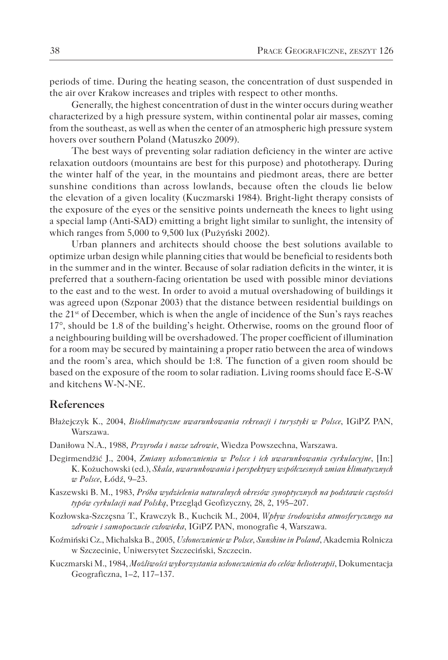periods of time. During the heating season, the concentration of dust suspended in the air over Krakow increases and triples with respect to other months.

Generally, the highest concentration of dust in the winter occurs during weather characterized by a high pressure system, within continental polar air masses, coming from the southeast, as well as when the center of an atmospheric high pressure system hovers over southern Poland (Matuszko 2009).

The best ways of preventing solar radiation deficiency in the winter are active relaxation outdoors (mountains are best for this purpose) and phototherapy. During the winter half of the year, in the mountains and piedmont areas, there are better sunshine conditions than across lowlands, because often the clouds lie below the elevation of a given locality (Kuczmarski 1984). Bright-light therapy consists of the exposure of the eyes or the sensitive points underneath the knees to light using a special lamp (Anti-SAD) emitting a bright light similar to sunlight, the intensity of which ranges from 5,000 to 9,500 lux (Pużyński 2002).

Urban planners and architects should choose the best solutions available to optimize urban design while planning cities that would be beneficial to residents both in the summer and in the winter. Because of solar radiation deficits in the winter, it is preferred that a southern-facing orientation be used with possible minor deviations to the east and to the west. In order to avoid a mutual overshadowing of buildings it was agreed upon (Szponar 2003) that the distance between residential buildings on the 21st of December, which is when the angle of incidence of the Sun's rays reaches 17°, should be 1.8 of the building's height. Otherwise, rooms on the ground floor of a neighbouring building will be overshadowed. The proper coefficient of illumination for a room may be secured by maintaining a proper ratio between the area of windows and the room's area, which should be 1:8. The function of a given room should be based on the exposure of the room to solar radiation. Living rooms should face E-S-W and kitchens W-N-NE.

#### **References**

- Błażejczyk K., 2004, *Bioklimatyczne uwarunkowania rekreacji i turystyki w Polsce*, IGiPZ PAN, Warszawa.
- Daniłowa N.A., 1988, *Przyroda i nasze zdrowie*, Wiedza Powszechna, Warszawa.
- Degirmendžić J., 2004, *Zmiany usłonecznienia w Polsce i ich uwarunkowania cyrkulacyjne*, [In:] K. Kożuchowski (ed.), *Skala, uwarunkowania i perspektywy współczesnych zmian klimatycznych w Polsce*, Łódź, 9–23.
- Kaszewski B. M., 1983, *Próba wydzielenia naturalnych okresów synoptycznych na podstawie częstości typów cyrkulacji nad Polską*, Przegląd Geofizyczny, 28, 2, 195–207.
- Kozłowska-Szczęsna T., Krawczyk B., Kuchcik M., 2004, *Wpływ środowiska atmosferycznego na zdrowie i samopoczucie człowieka*, IGiPZ PAN, monografie 4, Warszawa.
- Koźmiński Cz., Michalska B., 2005, *Usłonecznienie w Polsce, Sunshine in Poland*, Akademia Rolnicza w Szczecinie, Uniwersytet Szczeciński, Szczecin.
- Kuczmarski M., 1984, *Możliwości wykorzystania usłonecznienia do celów helioterapii*, Dokumentacja Geograficzna, 1–2, 117–137.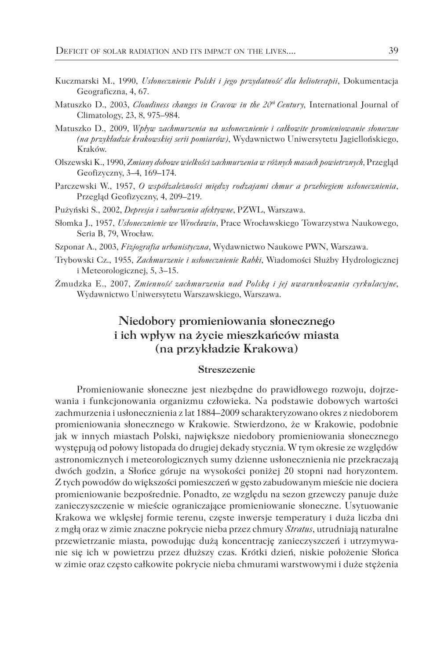- Kuczmarski M., 1990, *Usłonecznienie Polski i jego przydatność dla helioterapii*, Dokumentacja Geograficzna, 4, 67.
- Matuszko D., 2003, *Cloudiness changes in Cracow in the 20th Century,* International Journal of Climatology, 23, 8, 975–984.
- Matuszko D., 2009, *Wpływ zachmurzenia na usłonecznienie i całkowite promieniowanie słoneczne (na przykładzie krakowskiej serii pomiarów)*, Wydawnictwo Uniwersytetu Jagiellońskiego, Kraków.
- Olszewski K., 1990, *Zmiany dobowe wielkości zachmurzenia w różnych masach powietrznych,* Przegląd Geofizyczny, 3–4, 169–174.
- Parczewski W., 1957, *O współzależności między rodzajami chmur a przebiegiem usłonecznienia*, Przegląd Geofizyczny, 4, 209–219.
- Pużyński S., 2002, *Depresja i zaburzenia afektywne*, PZWL, Warszawa.
- Słomka J., 1957, *Usłonecznienie we Wrocławiu*, Prace Wrocławskiego Towarzystwa Naukowego, Seria B, 79, Wrocław.
- Szponar A., 2003, *Fizjografia urbanistyczna*, Wydawnictwo Naukowe PWN, Warszawa.
- Trybowski Cz., 1955, *Zachmurzenie i usłonecznienie Rabki*, Wiadomości Służby Hydrologicznej i Meteorologicznej, 5, 3–15.
- Żmudzka E., 2007, *Zmienność zachmurzenia nad Polską i jej uwarunkowania cyrkulacyjne*, Wydawnictwo Uniwersytetu Warszawskiego, Warszawa.

## **Niedobory promieniowania słonecznego i ich wpływ na życie mieszkańców miasta (na przykładzie Krakowa)**

#### **Streszczenie**

Promieniowanie słoneczne jest niezbędne do prawidłowego rozwoju, dojrzewania i funkcjonowania organizmu człowieka. Na podstawie dobowych wartości zachmurzenia i usłonecznienia z lat 1884–2009 scharakteryzowano okres z niedoborem promieniowania słonecznego w Krakowie. Stwierdzono, że w Krakowie, podobnie jak w innych miastach Polski, największe niedobory promieniowania słonecznego występują od połowy listopada do drugiej dekady stycznia. W tym okresie ze względów astronomicznych i meteorologicznych sumy dzienne usłonecznienia nie przekraczają dwóch godzin, a Słońce góruje na wysokości poniżej 20 stopni nad horyzontem. Z tych powodów do większości pomieszczeń w gęsto zabudowanym mieście nie dociera promieniowanie bezpośrednie. Ponadto, ze względu na sezon grzewczy panuje duże zanieczyszczenie w mieście ograniczające promieniowanie słoneczne. Usytuowanie Krakowa we wklęsłej formie terenu, częste inwersje temperatury i duża liczba dni z mgłą oraz w zimie znaczne pokrycie nieba przez chmury *Stratus*, utrudniają naturalne przewietrzanie miasta, powodując dużą koncentrację zanieczyszczeń i utrzymywanie się ich w powietrzu przez dłuższy czas. Krótki dzień, niskie położenie Słońca w zimie oraz często całkowite pokrycie nieba chmurami warstwowymi i duże stężenia